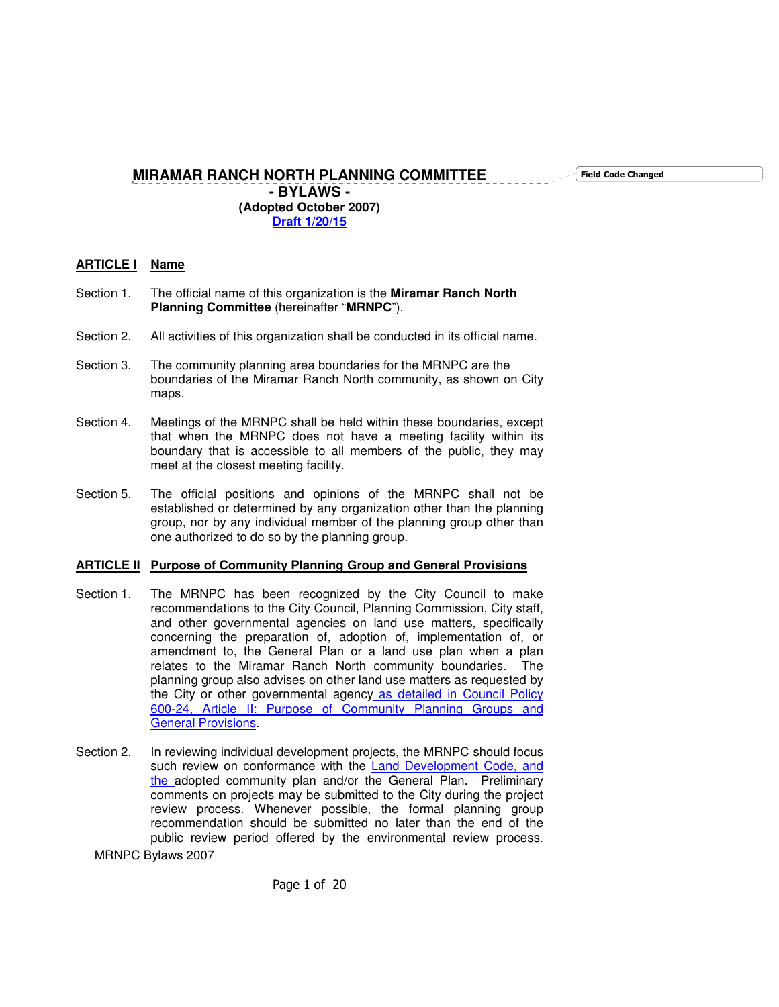Field Code Changed

**MIRAMAR RANCH NORTH PLANNING COMMITTEE - BYLAWS -**

**(Adopted October 2007) Draft 1/20/15**

# **ARTICLE I Name**

- Section 1. The official name of this organization is the **Miramar Ranch North Planning Committee** (hereinafter "**MRNPC**").
- Section 2. All activities of this organization shall be conducted in its official name.
- Section 3. The community planning area boundaries for the MRNPC are the boundaries of the Miramar Ranch North community, as shown on City maps.
- Section 4. Meetings of the MRNPC shall be held within these boundaries, except that when the MRNPC does not have a meeting facility within its boundary that is accessible to all members of the public, they may meet at the closest meeting facility.
- Section 5. The official positions and opinions of the MRNPC shall not be established or determined by any organization other than the planning group, nor by any individual member of the planning group other than one authorized to do so by the planning group.

## **ARTICLE II Purpose of Community Planning Group and General Provisions**

- Section 1. The MRNPC has been recognized by the City Council to make recommendations to the City Council, Planning Commission, City staff, and other governmental agencies on land use matters, specifically concerning the preparation of, adoption of, implementation of, or amendment to, the General Plan or a land use plan when a plan relates to the Miramar Ranch North community boundaries. The planning group also advises on other land use matters as requested by the City or other governmental agency as detailed in Council Policy 600-24, Article II: Purpose of Community Planning Groups and General Provisions.
- Section 2. In reviewing individual development projects, the MRNPC should focus such review on conformance with the Land Development Code, and the adopted community plan and/or the General Plan. Preliminary comments on projects may be submitted to the City during the project review process. Whenever possible, the formal planning group recommendation should be submitted no later than the end of the public review period offered by the environmental review process.

MRNPC Bylaws 2007

Page 1 of 20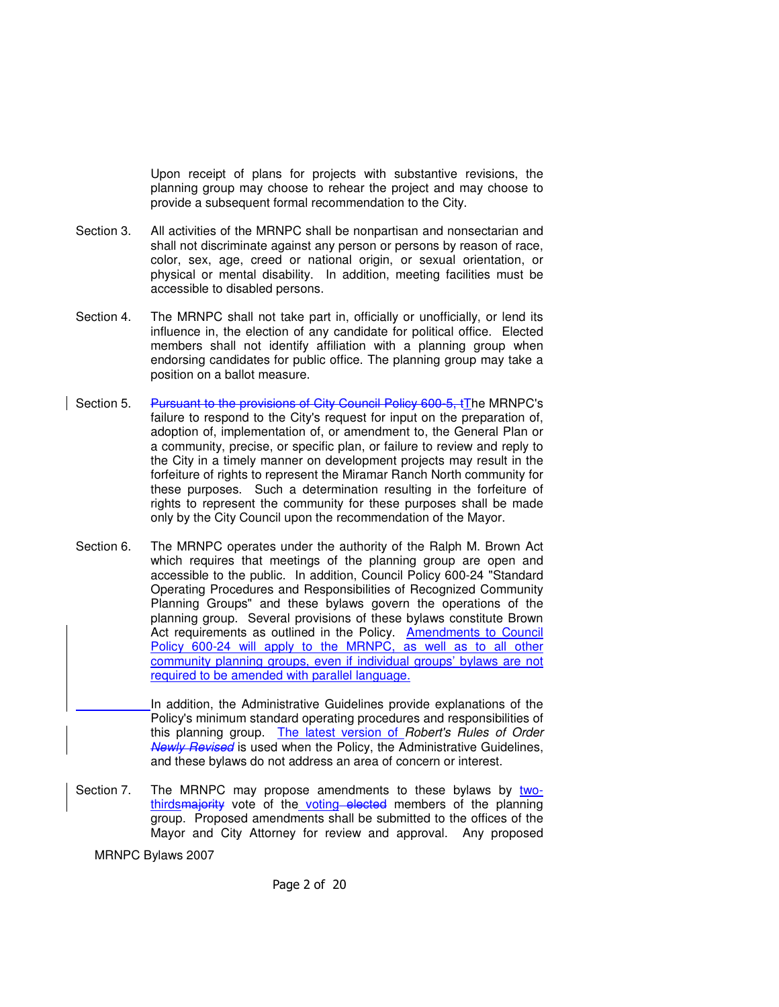Upon receipt of plans for projects with substantive revisions, the planning group may choose to rehear the project and may choose to provide a subsequent formal recommendation to the City.

- Section 3. All activities of the MRNPC shall be nonpartisan and nonsectarian and shall not discriminate against any person or persons by reason of race, color, sex, age, creed or national origin, or sexual orientation, or physical or mental disability. In addition, meeting facilities must be accessible to disabled persons.
- Section 4. The MRNPC shall not take part in, officially or unofficially, or lend its influence in, the election of any candidate for political office. Elected members shall not identify affiliation with a planning group when endorsing candidates for public office. The planning group may take a position on a ballot measure.
- Section 5. Pursuant to the provisions of City Council Policy 600-5, tThe MRNPC's failure to respond to the City's request for input on the preparation of, adoption of, implementation of, or amendment to, the General Plan or a community, precise, or specific plan, or failure to review and reply to the City in a timely manner on development projects may result in the forfeiture of rights to represent the Miramar Ranch North community for these purposes. Such a determination resulting in the forfeiture of rights to represent the community for these purposes shall be made only by the City Council upon the recommendation of the Mayor.
- Section 6. The MRNPC operates under the authority of the Ralph M. Brown Act which requires that meetings of the planning group are open and accessible to the public. In addition, Council Policy 600-24 "Standard Operating Procedures and Responsibilities of Recognized Community Planning Groups" and these bylaws govern the operations of the planning group. Several provisions of these bylaws constitute Brown Act requirements as outlined in the Policy. **Amendments to Council** Policy 600-24 will apply to the MRNPC, as well as to all other community planning groups, even if individual groups' bylaws are not required to be amended with parallel language.

In addition, the Administrative Guidelines provide explanations of the Policy's minimum standard operating procedures and responsibilities of this planning group. The latest version of Robert's Rules of Order Newly Revised is used when the Policy, the Administrative Guidelines, and these bylaws do not address an area of concern or interest.

Section 7. The MRNPC may propose amendments to these bylaws by twothirdsmajority vote of the voting elected members of the planning group. Proposed amendments shall be submitted to the offices of the Mayor and City Attorney for review and approval. Any proposed

MRNPC Bylaws 2007

Page 2 of 20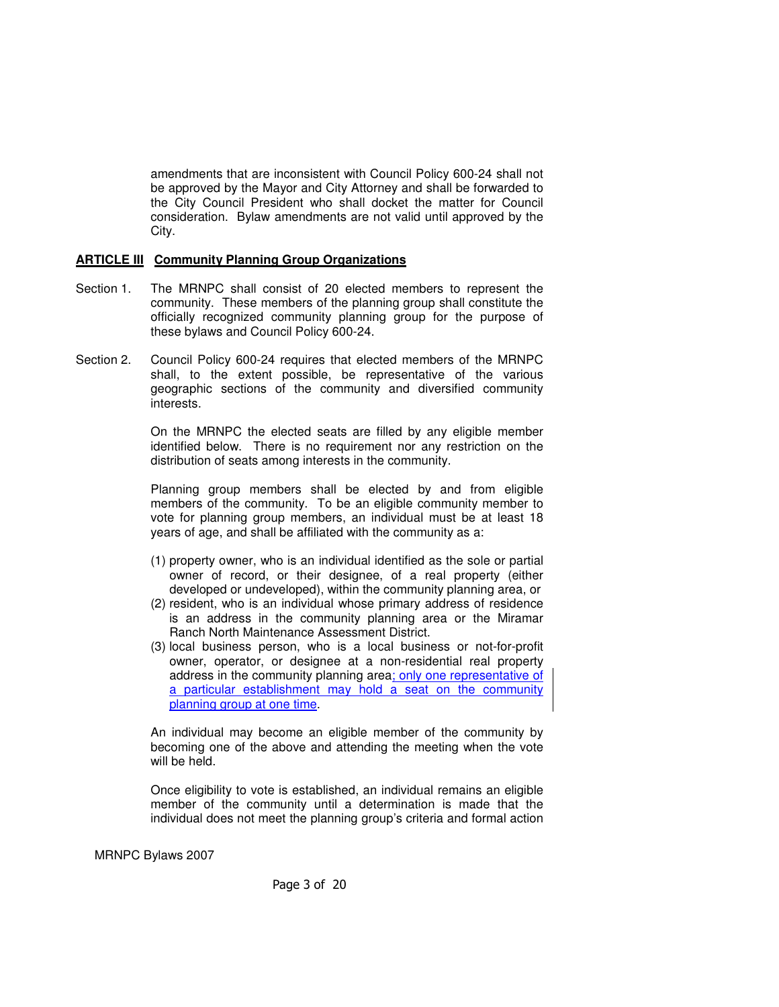amendments that are inconsistent with Council Policy 600-24 shall not be approved by the Mayor and City Attorney and shall be forwarded to the City Council President who shall docket the matter for Council consideration. Bylaw amendments are not valid until approved by the City.

#### **ARTICLE III Community Planning Group Organizations**

- Section 1. The MRNPC shall consist of 20 elected members to represent the community. These members of the planning group shall constitute the officially recognized community planning group for the purpose of these bylaws and Council Policy 600-24.
- Section 2. Council Policy 600-24 requires that elected members of the MRNPC shall, to the extent possible, be representative of the various geographic sections of the community and diversified community interests.

 On the MRNPC the elected seats are filled by any eligible member identified below. There is no requirement nor any restriction on the distribution of seats among interests in the community.

 Planning group members shall be elected by and from eligible members of the community. To be an eligible community member to vote for planning group members, an individual must be at least 18 years of age, and shall be affiliated with the community as a:

- (1) property owner, who is an individual identified as the sole or partial owner of record, or their designee, of a real property (either developed or undeveloped), within the community planning area, or
- (2) resident, who is an individual whose primary address of residence is an address in the community planning area or the Miramar Ranch North Maintenance Assessment District.
- (3) local business person, who is a local business or not-for-profit owner, operator, or designee at a non-residential real property address in the community planning area; only one representative of a particular establishment may hold a seat on the community planning group at one time.

 An individual may become an eligible member of the community by becoming one of the above and attending the meeting when the vote will be held.

 Once eligibility to vote is established, an individual remains an eligible member of the community until a determination is made that the individual does not meet the planning group's criteria and formal action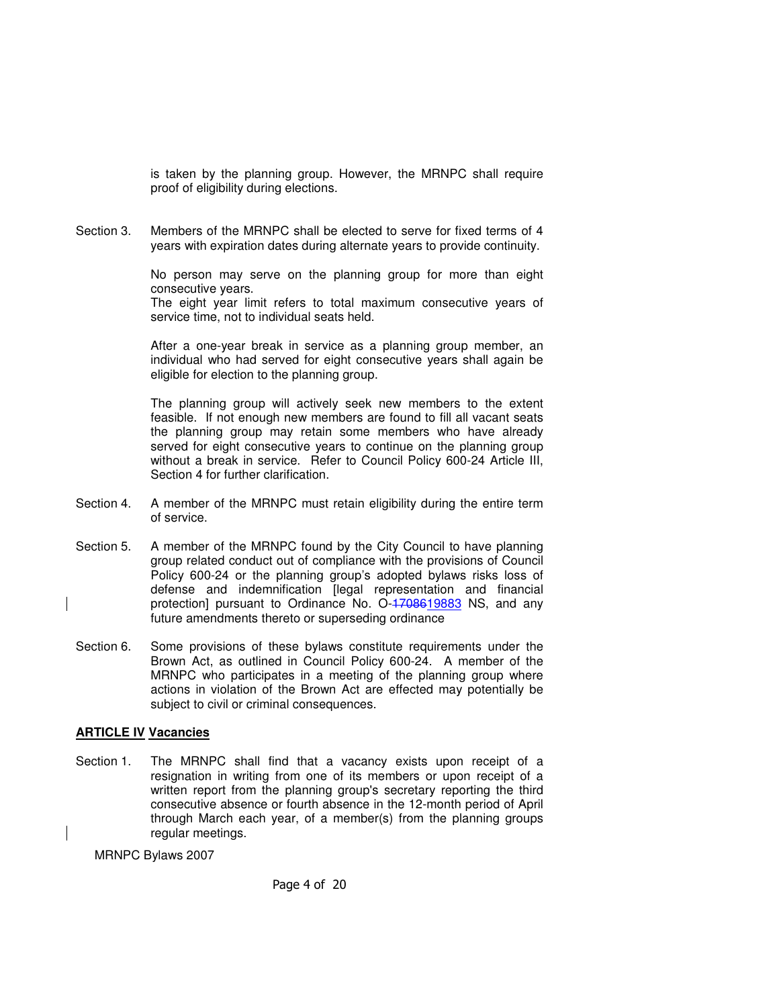is taken by the planning group. However, the MRNPC shall require proof of eligibility during elections.

Section 3. Members of the MRNPC shall be elected to serve for fixed terms of 4 years with expiration dates during alternate years to provide continuity.

> No person may serve on the planning group for more than eight consecutive years.

> The eight year limit refers to total maximum consecutive years of service time, not to individual seats held.

> After a one-year break in service as a planning group member, an individual who had served for eight consecutive years shall again be eligible for election to the planning group.

> The planning group will actively seek new members to the extent feasible. If not enough new members are found to fill all vacant seats the planning group may retain some members who have already served for eight consecutive years to continue on the planning group without a break in service. Refer to Council Policy 600-24 Article III, Section 4 for further clarification.

- Section 4. A member of the MRNPC must retain eligibility during the entire term of service.
- Section 5. A member of the MRNPC found by the City Council to have planning group related conduct out of compliance with the provisions of Council Policy 600-24 or the planning group's adopted bylaws risks loss of defense and indemnification [legal representation and financial protection] pursuant to Ordinance No. O-4708619883 NS, and any future amendments thereto or superseding ordinance
- Section 6. Some provisions of these bylaws constitute requirements under the Brown Act, as outlined in Council Policy 600-24. A member of the MRNPC who participates in a meeting of the planning group where actions in violation of the Brown Act are effected may potentially be subject to civil or criminal consequences.

#### **ARTICLE IV Vacancies**

Section 1. The MRNPC shall find that a vacancy exists upon receipt of a resignation in writing from one of its members or upon receipt of a written report from the planning group's secretary reporting the third consecutive absence or fourth absence in the 12-month period of April through March each year, of a member(s) from the planning groups regular meetings.

MRNPC Bylaws 2007

Page 4 of 20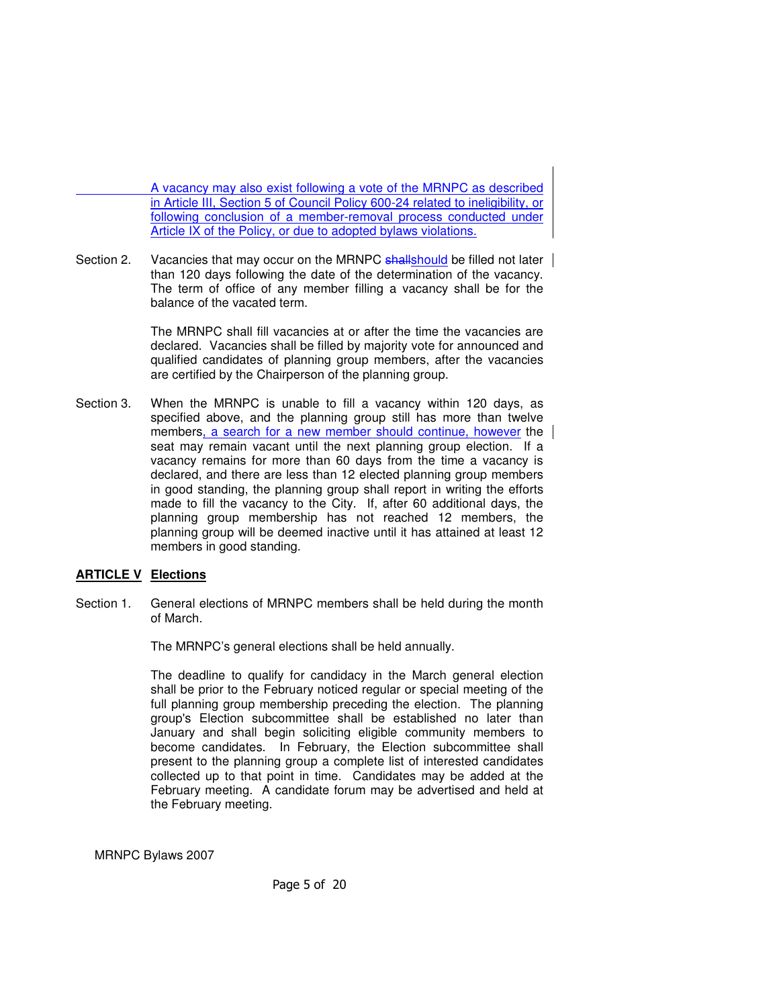A vacancy may also exist following a vote of the MRNPC as described in Article III, Section 5 of Council Policy 600-24 related to ineligibility, or following conclusion of a member-removal process conducted under Article IX of the Policy, or due to adopted bylaws violations.

Section 2. Vacancies that may occur on the MRNPC shallshould be filled not later than 120 days following the date of the determination of the vacancy. The term of office of any member filling a vacancy shall be for the balance of the vacated term.

> The MRNPC shall fill vacancies at or after the time the vacancies are declared. Vacancies shall be filled by majority vote for announced and qualified candidates of planning group members, after the vacancies are certified by the Chairperson of the planning group.

Section 3. When the MRNPC is unable to fill a vacancy within 120 days, as specified above, and the planning group still has more than twelve members, a search for a new member should continue, however the seat may remain vacant until the next planning group election. If a vacancy remains for more than 60 days from the time a vacancy is declared, and there are less than 12 elected planning group members in good standing, the planning group shall report in writing the efforts made to fill the vacancy to the City. If, after 60 additional days, the planning group membership has not reached 12 members, the planning group will be deemed inactive until it has attained at least 12 members in good standing.

#### **ARTICLE V Elections**

Section 1. General elections of MRNPC members shall be held during the month of March.

The MRNPC's general elections shall be held annually.

The deadline to qualify for candidacy in the March general election shall be prior to the February noticed regular or special meeting of the full planning group membership preceding the election. The planning group's Election subcommittee shall be established no later than January and shall begin soliciting eligible community members to become candidates. In February, the Election subcommittee shall present to the planning group a complete list of interested candidates collected up to that point in time. Candidates may be added at the February meeting. A candidate forum may be advertised and held at the February meeting.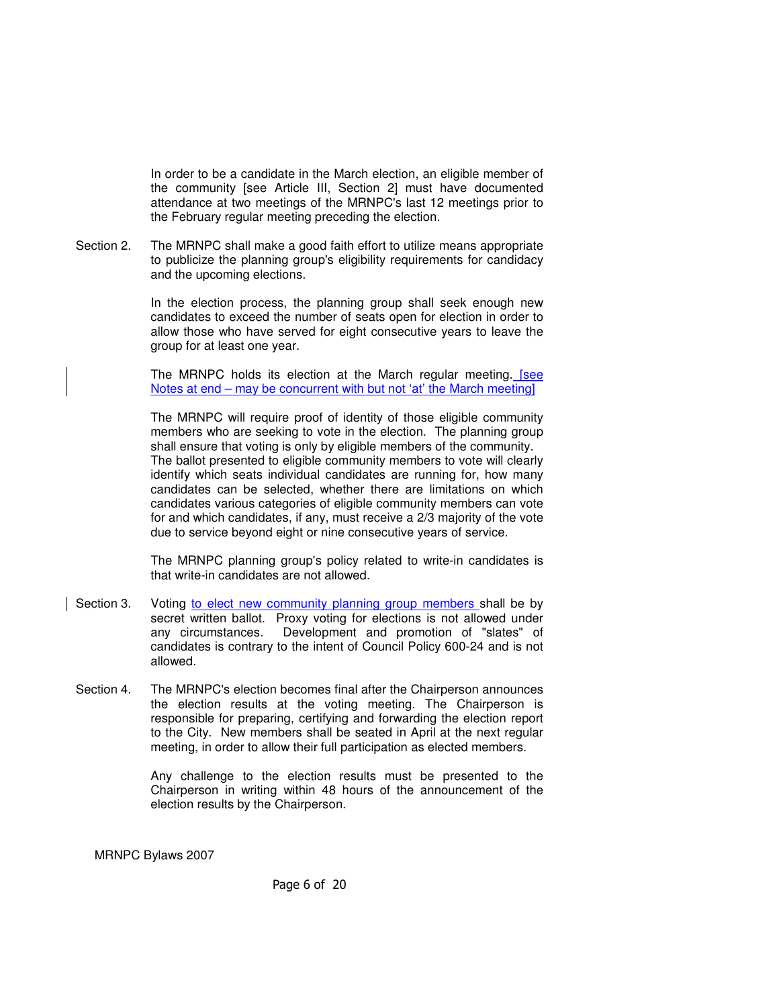In order to be a candidate in the March election, an eligible member of the community [see Article III, Section 2] must have documented attendance at two meetings of the MRNPC's last 12 meetings prior to the February regular meeting preceding the election.

Section 2. The MRNPC shall make a good faith effort to utilize means appropriate to publicize the planning group's eligibility requirements for candidacy and the upcoming elections.

> In the election process, the planning group shall seek enough new candidates to exceed the number of seats open for election in order to allow those who have served for eight consecutive years to leave the group for at least one year.

> The MRNPC holds its election at the March regular meeting. [see Notes at end – may be concurrent with but not 'at' the March meeting]

> The MRNPC will require proof of identity of those eligible community members who are seeking to vote in the election. The planning group shall ensure that voting is only by eligible members of the community. The ballot presented to eligible community members to vote will clearly identify which seats individual candidates are running for, how many candidates can be selected, whether there are limitations on which candidates various categories of eligible community members can vote for and which candidates, if any, must receive a 2/3 majority of the vote due to service beyond eight or nine consecutive years of service.

> The MRNPC planning group's policy related to write-in candidates is that write-in candidates are not allowed.

- Section 3. Voting to elect new community planning group members shall be by secret written ballot. Proxy voting for elections is not allowed under any circumstances. Development and promotion of "slates" of candidates is contrary to the intent of Council Policy 600-24 and is not allowed.
- Section 4. The MRNPC's election becomes final after the Chairperson announces the election results at the voting meeting. The Chairperson is responsible for preparing, certifying and forwarding the election report to the City. New members shall be seated in April at the next regular meeting, in order to allow their full participation as elected members.

 Any challenge to the election results must be presented to the Chairperson in writing within 48 hours of the announcement of the election results by the Chairperson.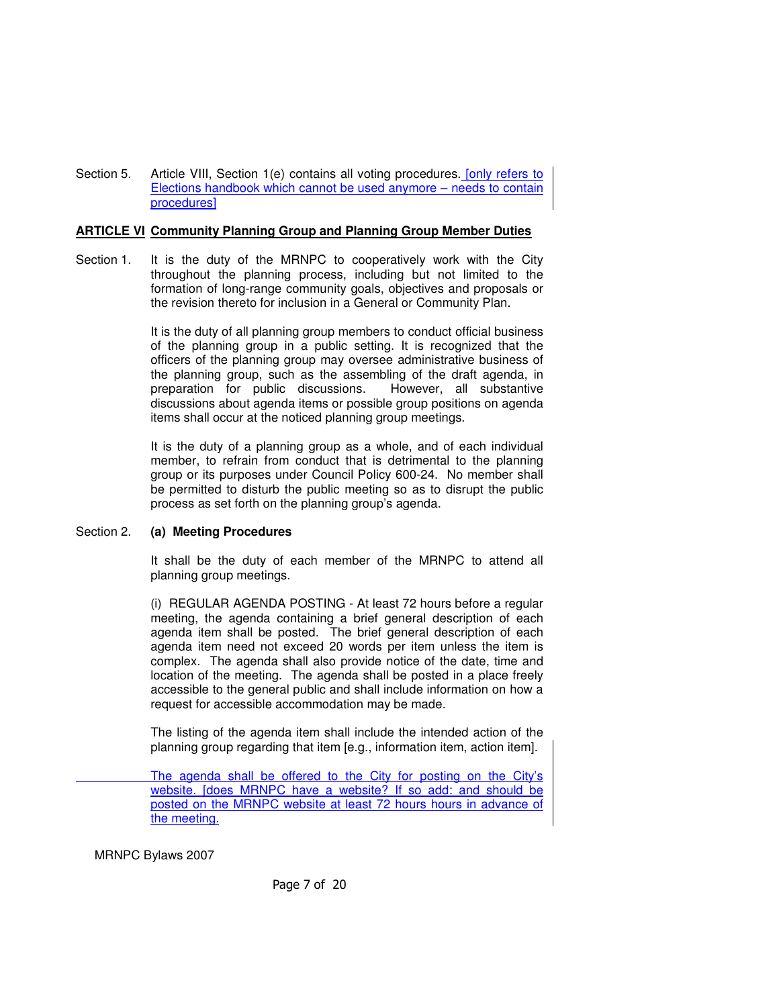Section 5. Article VIII, Section 1(e) contains all voting procedures. [only refers to Elections handbook which cannot be used anymore – needs to contain procedures]

#### **ARTICLE VI Community Planning Group and Planning Group Member Duties**

Section 1. It is the duty of the MRNPC to cooperatively work with the City throughout the planning process, including but not limited to the formation of long-range community goals, objectives and proposals or the revision thereto for inclusion in a General or Community Plan.

> It is the duty of all planning group members to conduct official business of the planning group in a public setting. It is recognized that the officers of the planning group may oversee administrative business of the planning group, such as the assembling of the draft agenda, in preparation for public discussions. However, all substantive preparation for public discussions. discussions about agenda items or possible group positions on agenda items shall occur at the noticed planning group meetings.

> It is the duty of a planning group as a whole, and of each individual member, to refrain from conduct that is detrimental to the planning group or its purposes under Council Policy 600-24. No member shall be permitted to disturb the public meeting so as to disrupt the public process as set forth on the planning group's agenda.

#### Section 2. **(a) Meeting Procedures**

 It shall be the duty of each member of the MRNPC to attend all planning group meetings.

 (i) REGULAR AGENDA POSTING - At least 72 hours before a regular meeting, the agenda containing a brief general description of each agenda item shall be posted. The brief general description of each agenda item need not exceed 20 words per item unless the item is complex. The agenda shall also provide notice of the date, time and location of the meeting. The agenda shall be posted in a place freely accessible to the general public and shall include information on how a request for accessible accommodation may be made.

 The listing of the agenda item shall include the intended action of the planning group regarding that item [e.g., information item, action item].

 The agenda shall be offered to the City for posting on the City's website. [does MRNPC have a website? If so add: and should be posted on the MRNPC website at least 72 hours hours in advance of the meeting.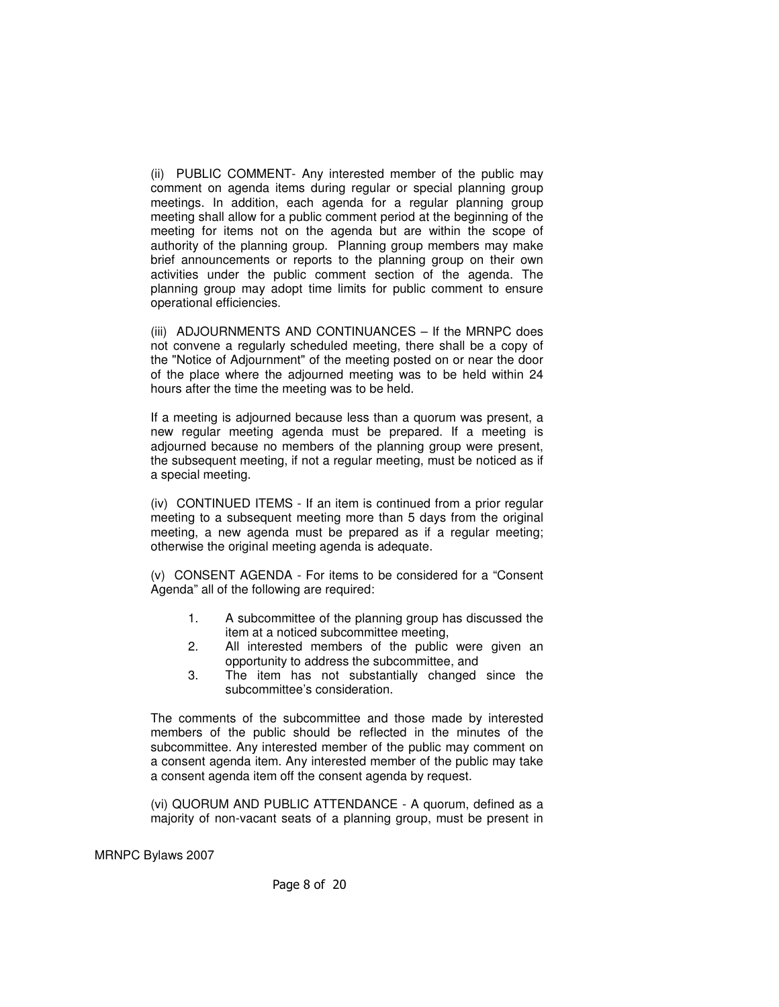(ii) PUBLIC COMMENT- Any interested member of the public may comment on agenda items during regular or special planning group meetings. In addition, each agenda for a regular planning group meeting shall allow for a public comment period at the beginning of the meeting for items not on the agenda but are within the scope of authority of the planning group. Planning group members may make brief announcements or reports to the planning group on their own activities under the public comment section of the agenda. The planning group may adopt time limits for public comment to ensure operational efficiencies.

(iii) ADJOURNMENTS AND CONTINUANCES – If the MRNPC does not convene a regularly scheduled meeting, there shall be a copy of the "Notice of Adjournment" of the meeting posted on or near the door of the place where the adjourned meeting was to be held within 24 hours after the time the meeting was to be held.

If a meeting is adjourned because less than a quorum was present, a new regular meeting agenda must be prepared. If a meeting is adjourned because no members of the planning group were present, the subsequent meeting, if not a regular meeting, must be noticed as if a special meeting.

 (iv) CONTINUED ITEMS - If an item is continued from a prior regular meeting to a subsequent meeting more than 5 days from the original meeting, a new agenda must be prepared as if a regular meeting; otherwise the original meeting agenda is adequate.

 (v) CONSENT AGENDA - For items to be considered for a "Consent Agenda" all of the following are required:

- 1. A subcommittee of the planning group has discussed the item at a noticed subcommittee meeting,
- 2. All interested members of the public were given an opportunity to address the subcommittee, and
- 3. The item has not substantially changed since the subcommittee's consideration.

The comments of the subcommittee and those made by interested members of the public should be reflected in the minutes of the subcommittee. Any interested member of the public may comment on a consent agenda item. Any interested member of the public may take a consent agenda item off the consent agenda by request.

 (vi) QUORUM AND PUBLIC ATTENDANCE - A quorum, defined as a majority of non-vacant seats of a planning group, must be present in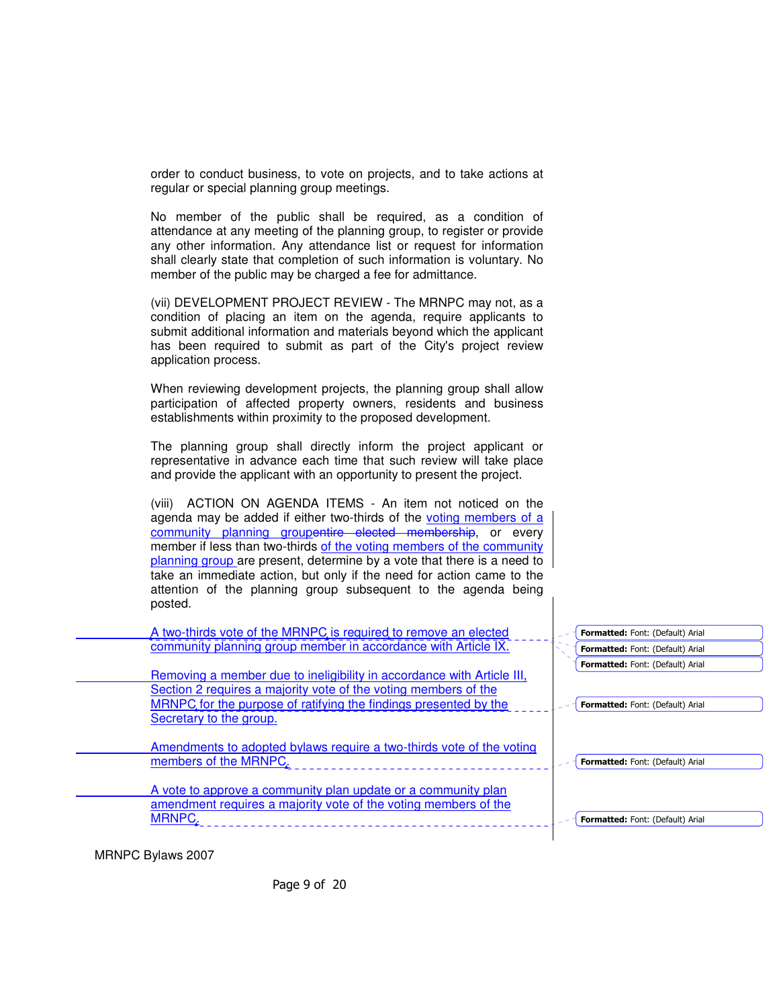order to conduct business, to vote on projects, and to take actions at regular or special planning group meetings.

 No member of the public shall be required, as a condition of attendance at any meeting of the planning group, to register or provide any other information. Any attendance list or request for information shall clearly state that completion of such information is voluntary. No member of the public may be charged a fee for admittance.

 (vii) DEVELOPMENT PROJECT REVIEW - The MRNPC may not, as a condition of placing an item on the agenda, require applicants to submit additional information and materials beyond which the applicant has been required to submit as part of the City's project review application process.

When reviewing development projects, the planning group shall allow participation of affected property owners, residents and business establishments within proximity to the proposed development.

 The planning group shall directly inform the project applicant or representative in advance each time that such review will take place and provide the applicant with an opportunity to present the project.

 (viii) ACTION ON AGENDA ITEMS - An item not noticed on the agenda may be added if either two-thirds of the voting members of a community planning groupentire elected membership, or every member if less than two-thirds of the voting members of the community planning group are present, determine by a vote that there is a need to take an immediate action, but only if the need for action came to the attention of the planning group subsequent to the agenda being posted.

| A two-thirds vote of the MRNPC is required to remove an elected<br>community planning group member in accordance with Article IX.                                                                                                        | Formatted: Font: (Default) Arial<br>Formatted: Font: (Default) Arial |
|------------------------------------------------------------------------------------------------------------------------------------------------------------------------------------------------------------------------------------------|----------------------------------------------------------------------|
| Removing a member due to ineligibility in accordance with Article III,<br>Section 2 requires a majority vote of the voting members of the<br>MRNPC for the purpose of ratifying the findings presented by the<br>Secretary to the group. | Formatted: Font: (Default) Arial<br>Formatted: Font: (Default) Arial |
| Amendments to adopted bylaws require a two-thirds vote of the voting<br>members of the MRNPC.                                                                                                                                            | Formatted: Font: (Default) Arial                                     |
| A vote to approve a community plan update or a community plan<br>amendment requires a majority vote of the voting members of the<br>MRNPC.                                                                                               | Formatted: Font: (Default) Arial                                     |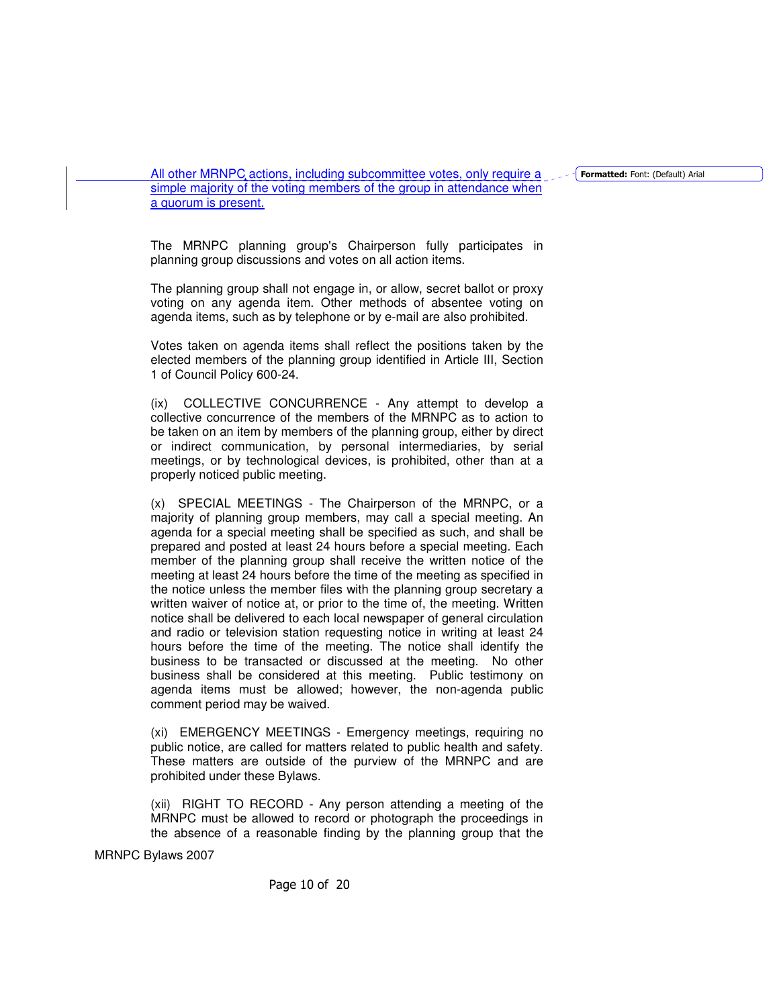Formatted: Font: (Default) Arial

All other MRNPC actions, including subcommittee votes, only require a simple majority of the voting members of the group in attendance when a quorum is present.

 The MRNPC planning group's Chairperson fully participates in planning group discussions and votes on all action items.

 The planning group shall not engage in, or allow, secret ballot or proxy voting on any agenda item. Other methods of absentee voting on agenda items, such as by telephone or by e-mail are also prohibited.

 Votes taken on agenda items shall reflect the positions taken by the elected members of the planning group identified in Article III, Section 1 of Council Policy 600-24.

 (ix) COLLECTIVE CONCURRENCE - Any attempt to develop a collective concurrence of the members of the MRNPC as to action to be taken on an item by members of the planning group, either by direct or indirect communication, by personal intermediaries, by serial meetings, or by technological devices, is prohibited, other than at a properly noticed public meeting.

(x) SPECIAL MEETINGS - The Chairperson of the MRNPC, or a majority of planning group members, may call a special meeting. An agenda for a special meeting shall be specified as such, and shall be prepared and posted at least 24 hours before a special meeting. Each member of the planning group shall receive the written notice of the meeting at least 24 hours before the time of the meeting as specified in the notice unless the member files with the planning group secretary a written waiver of notice at, or prior to the time of, the meeting. Written notice shall be delivered to each local newspaper of general circulation and radio or television station requesting notice in writing at least 24 hours before the time of the meeting. The notice shall identify the business to be transacted or discussed at the meeting. No other business shall be considered at this meeting. Public testimony on agenda items must be allowed; however, the non-agenda public comment period may be waived.

 (xi) EMERGENCY MEETINGS - Emergency meetings, requiring no public notice, are called for matters related to public health and safety. These matters are outside of the purview of the MRNPC and are prohibited under these Bylaws.

 (xii) RIGHT TO RECORD - Any person attending a meeting of the MRNPC must be allowed to record or photograph the proceedings in the absence of a reasonable finding by the planning group that the

MRNPC Bylaws 2007

Page 10 of 20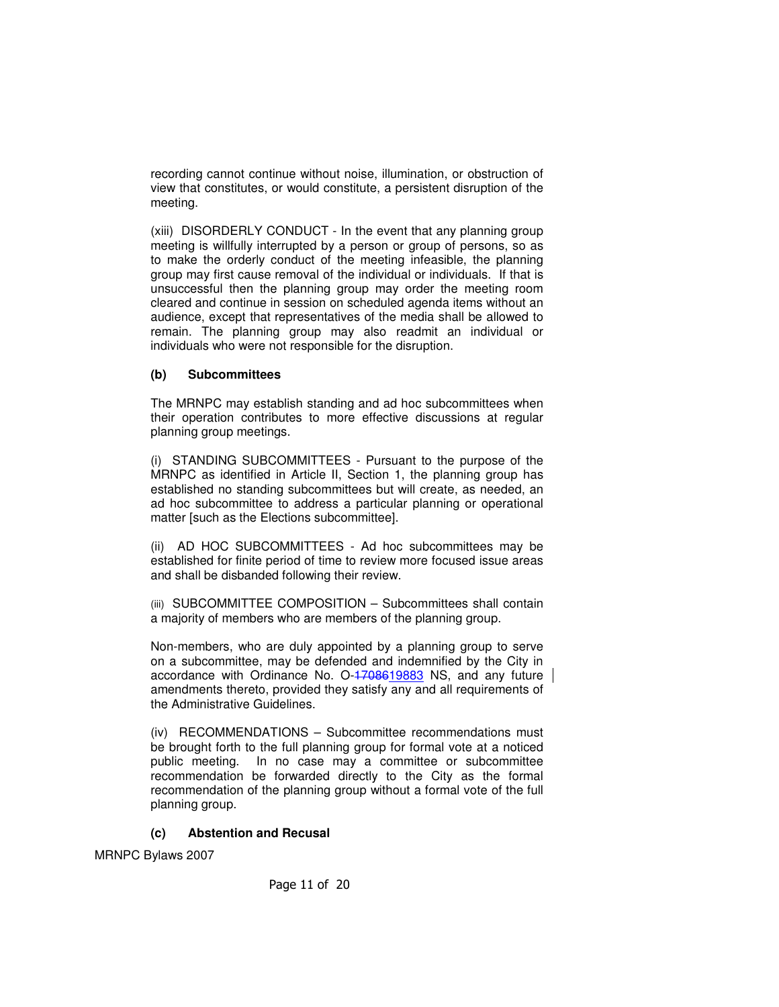recording cannot continue without noise, illumination, or obstruction of view that constitutes, or would constitute, a persistent disruption of the meeting.

 (xiii) DISORDERLY CONDUCT - In the event that any planning group meeting is willfully interrupted by a person or group of persons, so as to make the orderly conduct of the meeting infeasible, the planning group may first cause removal of the individual or individuals. If that is unsuccessful then the planning group may order the meeting room cleared and continue in session on scheduled agenda items without an audience, except that representatives of the media shall be allowed to remain. The planning group may also readmit an individual or individuals who were not responsible for the disruption.

# **(b) Subcommittees**

 The MRNPC may establish standing and ad hoc subcommittees when their operation contributes to more effective discussions at regular planning group meetings.

 (i) STANDING SUBCOMMITTEES - Pursuant to the purpose of the MRNPC as identified in Article II, Section 1, the planning group has established no standing subcommittees but will create, as needed, an ad hoc subcommittee to address a particular planning or operational matter [such as the Elections subcommittee].

 (ii) AD HOC SUBCOMMITTEES - Ad hoc subcommittees may be established for finite period of time to review more focused issue areas and shall be disbanded following their review.

(iii) SUBCOMMITTEE COMPOSITION – Subcommittees shall contain a majority of members who are members of the planning group.

Non-members, who are duly appointed by a planning group to serve on a subcommittee, may be defended and indemnified by the City in accordance with Ordinance No. O-4708619883 NS, and any future amendments thereto, provided they satisfy any and all requirements of the Administrative Guidelines.

 (iv) RECOMMENDATIONS – Subcommittee recommendations must be brought forth to the full planning group for formal vote at a noticed public meeting. In no case may a committee or subcommittee recommendation be forwarded directly to the City as the formal recommendation of the planning group without a formal vote of the full planning group.

#### **(c) Abstention and Recusal**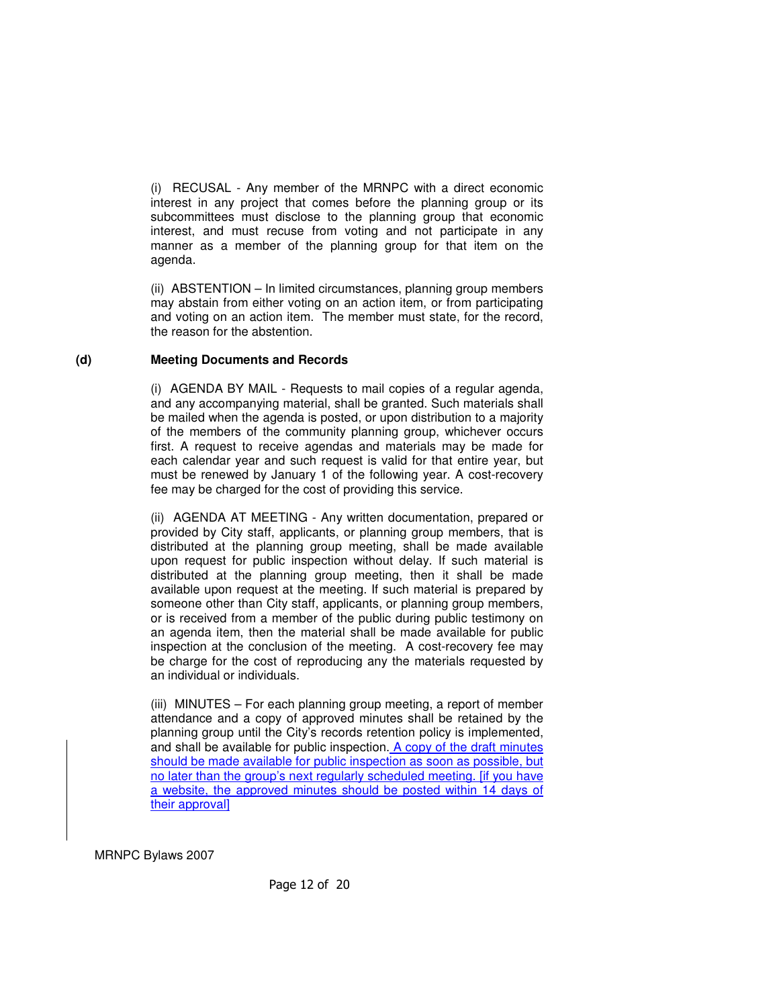(i) RECUSAL - Any member of the MRNPC with a direct economic interest in any project that comes before the planning group or its subcommittees must disclose to the planning group that economic interest, and must recuse from voting and not participate in any manner as a member of the planning group for that item on the agenda.

 (ii) ABSTENTION – In limited circumstances, planning group members may abstain from either voting on an action item, or from participating and voting on an action item. The member must state, for the record, the reason for the abstention.

# **(d) Meeting Documents and Records**

 (i) AGENDA BY MAIL - Requests to mail copies of a regular agenda, and any accompanying material, shall be granted. Such materials shall be mailed when the agenda is posted, or upon distribution to a majority of the members of the community planning group, whichever occurs first. A request to receive agendas and materials may be made for each calendar year and such request is valid for that entire year, but must be renewed by January 1 of the following year. A cost-recovery fee may be charged for the cost of providing this service.

(ii) AGENDA AT MEETING - Any written documentation, prepared or provided by City staff, applicants, or planning group members, that is distributed at the planning group meeting, shall be made available upon request for public inspection without delay. If such material is distributed at the planning group meeting, then it shall be made available upon request at the meeting. If such material is prepared by someone other than City staff, applicants, or planning group members, or is received from a member of the public during public testimony on an agenda item, then the material shall be made available for public inspection at the conclusion of the meeting. A cost-recovery fee may be charge for the cost of reproducing any the materials requested by an individual or individuals.

 (iii) MINUTES – For each planning group meeting, a report of member attendance and a copy of approved minutes shall be retained by the planning group until the City's records retention policy is implemented, and shall be available for public inspection. A copy of the draft minutes should be made available for public inspection as soon as possible, but no later than the group's next regularly scheduled meeting. [if you have a website, the approved minutes should be posted within 14 days of their approval]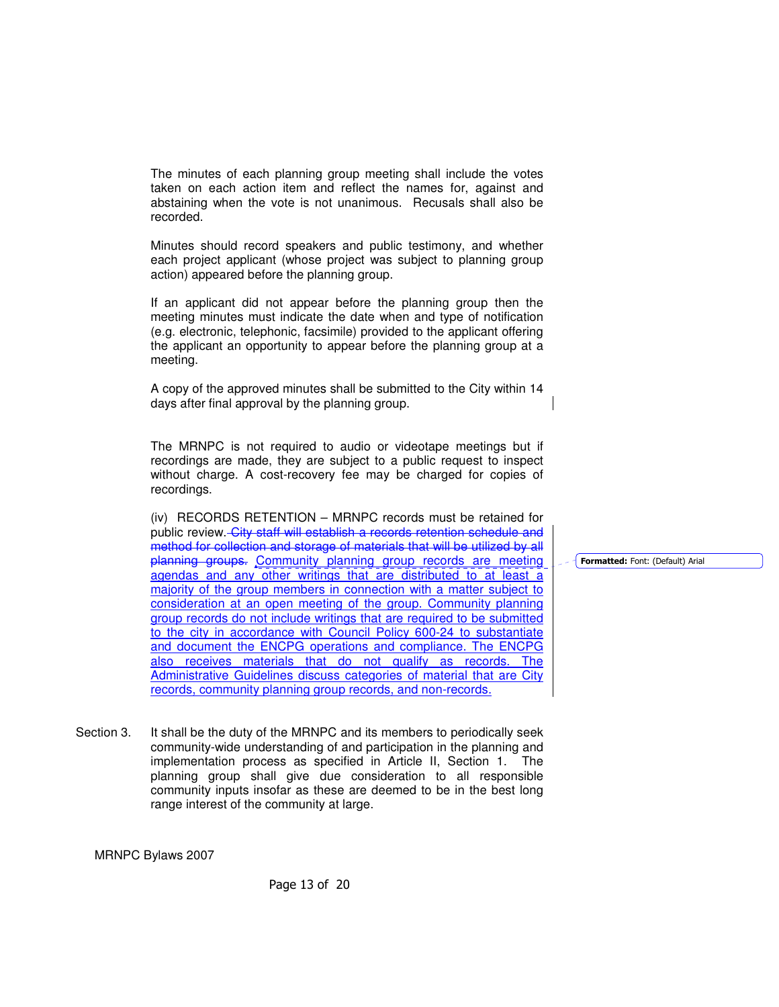The minutes of each planning group meeting shall include the votes taken on each action item and reflect the names for, against and abstaining when the vote is not unanimous. Recusals shall also be recorded.

Minutes should record speakers and public testimony, and whether each project applicant (whose project was subject to planning group action) appeared before the planning group.

If an applicant did not appear before the planning group then the meeting minutes must indicate the date when and type of notification (e.g. electronic, telephonic, facsimile) provided to the applicant offering the applicant an opportunity to appear before the planning group at a meeting.

 A copy of the approved minutes shall be submitted to the City within 14 days after final approval by the planning group.

 The MRNPC is not required to audio or videotape meetings but if recordings are made, they are subject to a public request to inspect without charge. A cost-recovery fee may be charged for copies of recordings.

 (iv) RECORDS RETENTION – MRNPC records must be retained for public review. City staff will establish a records retention schedule and method for collection and storage of materials that will be utilized by all planning groups. Community planning group records are meeting agendas and any other writings that are distributed to at least a majority of the group members in connection with a matter subject to consideration at an open meeting of the group. Community planning group records do not include writings that are required to be submitted to the city in accordance with Council Policy 600-24 to substantiate and document the ENCPG operations and compliance. The ENCPG also receives materials that do not qualify as records. The Administrative Guidelines discuss categories of material that are City records, community planning group records, and non-records.

Section 3. It shall be the duty of the MRNPC and its members to periodically seek community-wide understanding of and participation in the planning and implementation process as specified in Article II, Section 1. The planning group shall give due consideration to all responsible community inputs insofar as these are deemed to be in the best long range interest of the community at large.

MRNPC Bylaws 2007

Page 13 of 20

Formatted: Font: (Default) Arial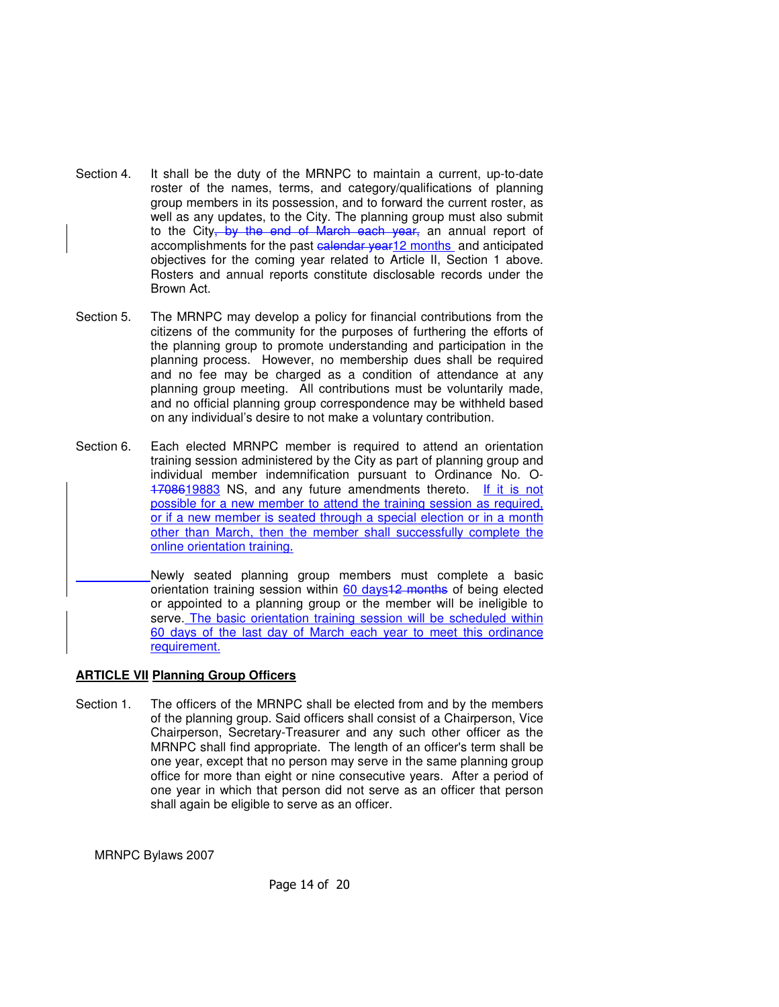- Section 4. It shall be the duty of the MRNPC to maintain a current, up-to-date roster of the names, terms, and category/qualifications of planning group members in its possession, and to forward the current roster, as well as any updates, to the City. The planning group must also submit to the City, by the end of March each year, an annual report of accomplishments for the past ealendar year12 months and anticipated objectives for the coming year related to Article II, Section 1 above. Rosters and annual reports constitute disclosable records under the Brown Act.
- Section 5. The MRNPC may develop a policy for financial contributions from the citizens of the community for the purposes of furthering the efforts of the planning group to promote understanding and participation in the planning process. However, no membership dues shall be required and no fee may be charged as a condition of attendance at any planning group meeting. All contributions must be voluntarily made, and no official planning group correspondence may be withheld based on any individual's desire to not make a voluntary contribution.
- Section 6. Each elected MRNPC member is required to attend an orientation training session administered by the City as part of planning group and individual member indemnification pursuant to Ordinance No. O-1708619883 NS, and any future amendments thereto. If it is not possible for a new member to attend the training session as required, or if a new member is seated through a special election or in a month other than March, then the member shall successfully complete the online orientation training.
- Newly seated planning group members must complete a basic orientation training session within 60 days<sup>12</sup> months of being elected or appointed to a planning group or the member will be ineligible to serve. The basic orientation training session will be scheduled within 60 days of the last day of March each year to meet this ordinance requirement.

# **ARTICLE VII Planning Group Officers**

Section 1. The officers of the MRNPC shall be elected from and by the members of the planning group. Said officers shall consist of a Chairperson, Vice Chairperson, Secretary-Treasurer and any such other officer as the MRNPC shall find appropriate. The length of an officer's term shall be one year, except that no person may serve in the same planning group office for more than eight or nine consecutive years. After a period of one year in which that person did not serve as an officer that person shall again be eligible to serve as an officer.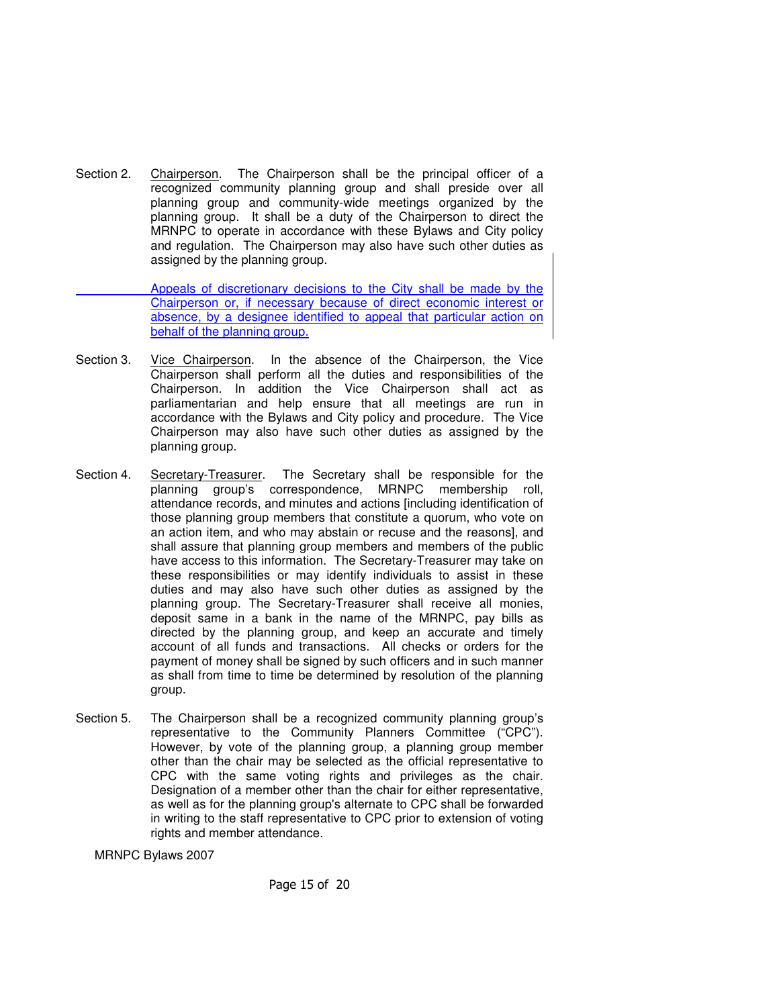Section 2. Chairperson. The Chairperson shall be the principal officer of a recognized community planning group and shall preside over all planning group and community-wide meetings organized by the planning group. It shall be a duty of the Chairperson to direct the MRNPC to operate in accordance with these Bylaws and City policy and regulation. The Chairperson may also have such other duties as assigned by the planning group.

 Appeals of discretionary decisions to the City shall be made by the Chairperson or, if necessary because of direct economic interest or absence, by a designee identified to appeal that particular action on behalf of the planning group.

- Section 3. Vice Chairperson. In the absence of the Chairperson, the Vice Chairperson shall perform all the duties and responsibilities of the Chairperson. In addition the Vice Chairperson shall act as parliamentarian and help ensure that all meetings are run in accordance with the Bylaws and City policy and procedure. The Vice Chairperson may also have such other duties as assigned by the planning group.
- Section 4. Secretary-Treasurer. The Secretary shall be responsible for the planning group's correspondence, MRNPC membership roll, attendance records, and minutes and actions [including identification of those planning group members that constitute a quorum, who vote on an action item, and who may abstain or recuse and the reasons], and shall assure that planning group members and members of the public have access to this information. The Secretary-Treasurer may take on these responsibilities or may identify individuals to assist in these duties and may also have such other duties as assigned by the planning group. The Secretary-Treasurer shall receive all monies, deposit same in a bank in the name of the MRNPC, pay bills as directed by the planning group, and keep an accurate and timely account of all funds and transactions. All checks or orders for the payment of money shall be signed by such officers and in such manner as shall from time to time be determined by resolution of the planning group.
- Section 5. The Chairperson shall be a recognized community planning group's representative to the Community Planners Committee ("CPC"). However, by vote of the planning group, a planning group member other than the chair may be selected as the official representative to CPC with the same voting rights and privileges as the chair. Designation of a member other than the chair for either representative, as well as for the planning group's alternate to CPC shall be forwarded in writing to the staff representative to CPC prior to extension of voting rights and member attendance.

MRNPC Bylaws 2007

Page 15 of 20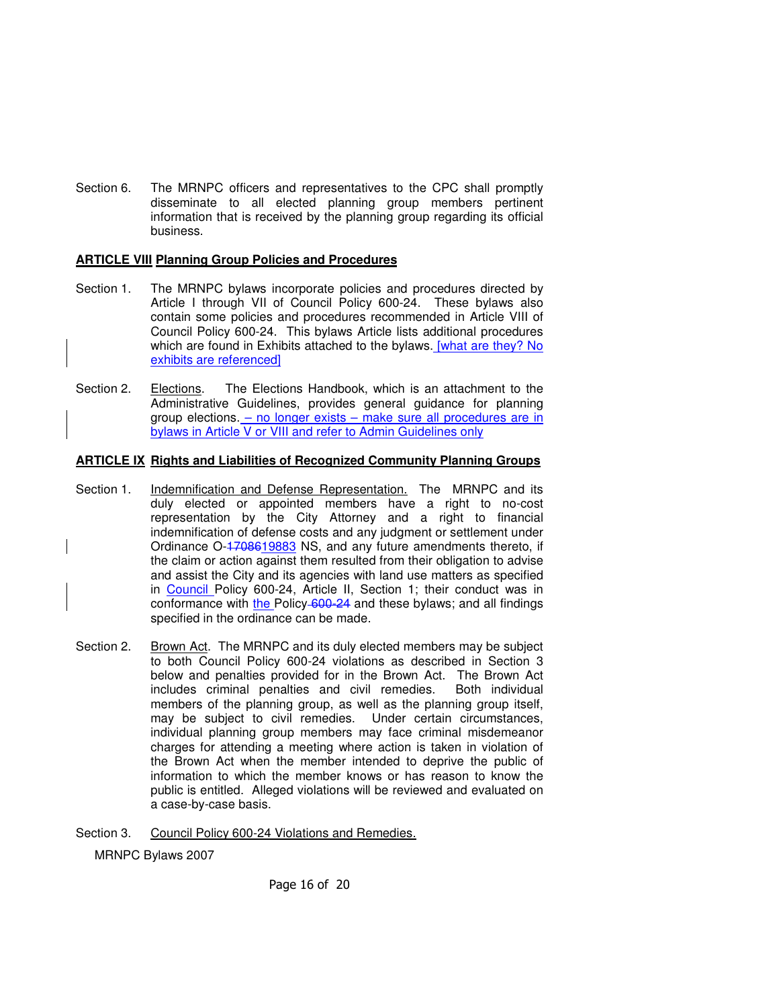Section 6. The MRNPC officers and representatives to the CPC shall promptly disseminate to all elected planning group members pertinent information that is received by the planning group regarding its official business.

#### **ARTICLE VIII Planning Group Policies and Procedures**

- Section 1. The MRNPC bylaws incorporate policies and procedures directed by Article I through VII of Council Policy 600-24. These bylaws also contain some policies and procedures recommended in Article VIII of Council Policy 600-24. This bylaws Article lists additional procedures which are found in Exhibits attached to the bylaws. [what are they? No exhibits are referenced]
- Section 2. Elections. The Elections Handbook, which is an attachment to the Administrative Guidelines, provides general guidance for planning group elections. - no longer exists - make sure all procedures are in bylaws in Article V or VIII and refer to Admin Guidelines only

#### **ARTICLE IX Rights and Liabilities of Recognized Community Planning Groups**

- Section 1. Indemnification and Defense Representation. The MRNPC and its duly elected or appointed members have a right to no-cost representation by the City Attorney and a right to financial indemnification of defense costs and any judgment or settlement under Ordinance O-1708619883 NS, and any future amendments thereto, if the claim or action against them resulted from their obligation to advise and assist the City and its agencies with land use matters as specified in Council Policy 600-24, Article II, Section 1; their conduct was in conformance with the Policy 600-24 and these bylaws; and all findings specified in the ordinance can be made.
- Section 2. Brown Act. The MRNPC and its duly elected members may be subject to both Council Policy 600-24 violations as described in Section 3 below and penalties provided for in the Brown Act. The Brown Act includes criminal penalties and civil remedies. Both individual members of the planning group, as well as the planning group itself, may be subject to civil remedies. Under certain circumstances, individual planning group members may face criminal misdemeanor charges for attending a meeting where action is taken in violation of the Brown Act when the member intended to deprive the public of information to which the member knows or has reason to know the public is entitled. Alleged violations will be reviewed and evaluated on a case-by-case basis.
- Section 3. Council Policy 600-24 Violations and Remedies.

MRNPC Bylaws 2007

Page 16 of 20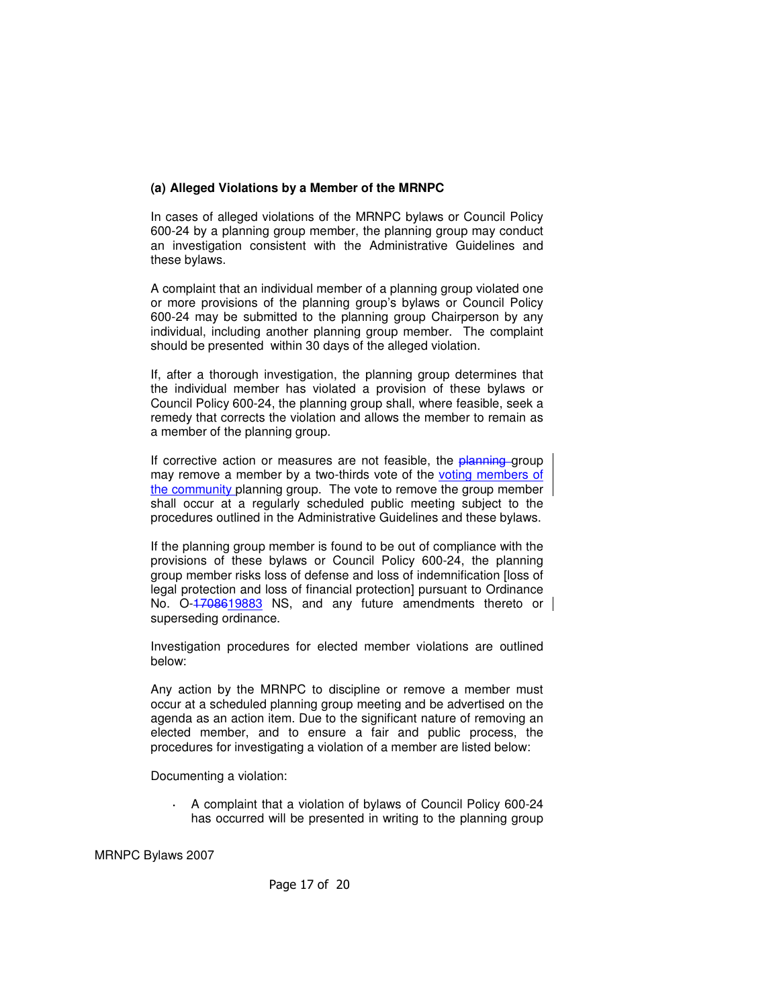## **(a) Alleged Violations by a Member of the MRNPC**

 In cases of alleged violations of the MRNPC bylaws or Council Policy 600-24 by a planning group member, the planning group may conduct an investigation consistent with the Administrative Guidelines and these bylaws.

A complaint that an individual member of a planning group violated one or more provisions of the planning group's bylaws or Council Policy 600-24 may be submitted to the planning group Chairperson by any individual, including another planning group member. The complaint should be presented within 30 days of the alleged violation.

If, after a thorough investigation, the planning group determines that the individual member has violated a provision of these bylaws or Council Policy 600-24, the planning group shall, where feasible, seek a remedy that corrects the violation and allows the member to remain as a member of the planning group.

If corrective action or measures are not feasible, the planning group may remove a member by a two-thirds vote of the voting members of the community planning group. The vote to remove the group member shall occur at a regularly scheduled public meeting subject to the procedures outlined in the Administrative Guidelines and these bylaws.

If the planning group member is found to be out of compliance with the provisions of these bylaws or Council Policy 600-24, the planning group member risks loss of defense and loss of indemnification [loss of legal protection and loss of financial protection] pursuant to Ordinance No. O-1708619883 NS, and any future amendments thereto or superseding ordinance.

Investigation procedures for elected member violations are outlined below:

Any action by the MRNPC to discipline or remove a member must occur at a scheduled planning group meeting and be advertised on the agenda as an action item. Due to the significant nature of removing an elected member, and to ensure a fair and public process, the procedures for investigating a violation of a member are listed below:

Documenting a violation:

**·** A complaint that a violation of bylaws of Council Policy 600-24 has occurred will be presented in writing to the planning group

MRNPC Bylaws 2007

Page 17 of 20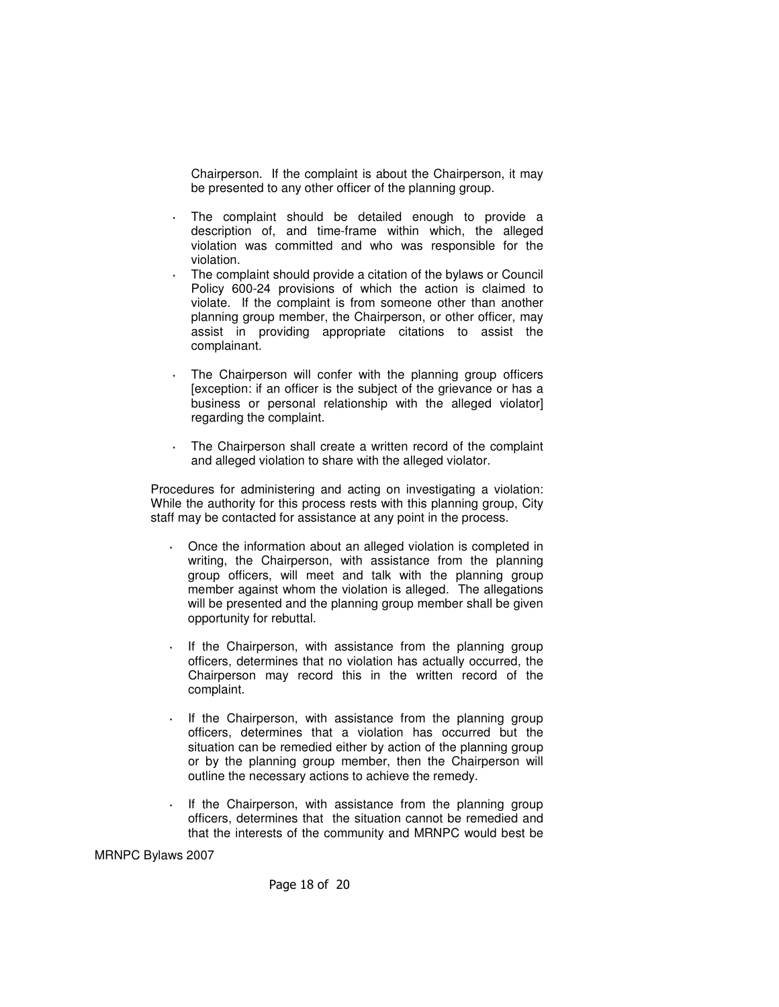Chairperson. If the complaint is about the Chairperson, it may be presented to any other officer of the planning group.

- The complaint should be detailed enough to provide a description of, and time-frame within which, the alleged violation was committed and who was responsible for the violation.
- **·** The complaint should provide a citation of the bylaws or Council Policy 600-24 provisions of which the action is claimed to violate. If the complaint is from someone other than another planning group member, the Chairperson, or other officer, may assist in providing appropriate citations to assist the complainant.
- **·** The Chairperson will confer with the planning group officers [exception: if an officer is the subject of the grievance or has a business or personal relationship with the alleged violator] regarding the complaint.
- **·** The Chairperson shall create a written record of the complaint and alleged violation to share with the alleged violator.

Procedures for administering and acting on investigating a violation: While the authority for this process rests with this planning group, City staff may be contacted for assistance at any point in the process.

- **·** Once the information about an alleged violation is completed in writing, the Chairperson, with assistance from the planning group officers, will meet and talk with the planning group member against whom the violation is alleged. The allegations will be presented and the planning group member shall be given opportunity for rebuttal.
- **·** If the Chairperson, with assistance from the planning group officers, determines that no violation has actually occurred, the Chairperson may record this in the written record of the complaint.
- **·** If the Chairperson, with assistance from the planning group officers, determines that a violation has occurred but the situation can be remedied either by action of the planning group or by the planning group member, then the Chairperson will outline the necessary actions to achieve the remedy.
- If the Chairperson, with assistance from the planning group officers, determines that the situation cannot be remedied and that the interests of the community and MRNPC would best be

MRNPC Bylaws 2007

Page 18 of 20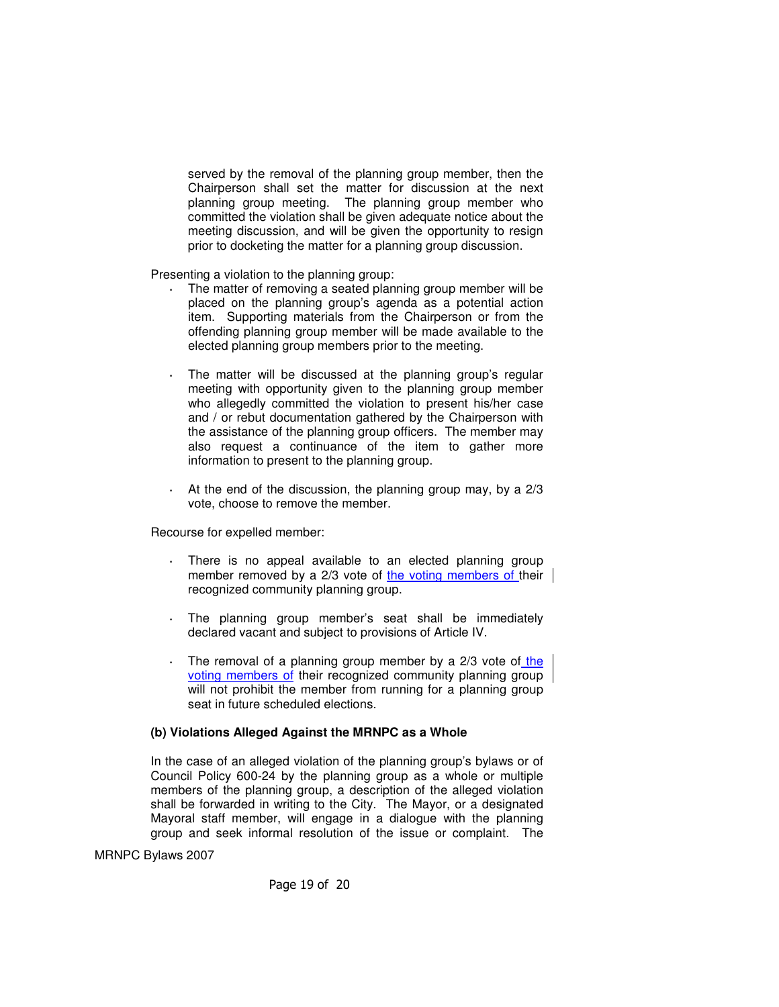served by the removal of the planning group member, then the Chairperson shall set the matter for discussion at the next planning group meeting. The planning group member who committed the violation shall be given adequate notice about the meeting discussion, and will be given the opportunity to resign prior to docketing the matter for a planning group discussion.

Presenting a violation to the planning group:

- **·** The matter of removing a seated planning group member will be placed on the planning group's agenda as a potential action item. Supporting materials from the Chairperson or from the offending planning group member will be made available to the elected planning group members prior to the meeting.
- The matter will be discussed at the planning group's regular meeting with opportunity given to the planning group member who allegedly committed the violation to present his/her case and / or rebut documentation gathered by the Chairperson with the assistance of the planning group officers. The member may also request a continuance of the item to gather more information to present to the planning group.
- **·** At the end of the discussion, the planning group may, by a 2/3 vote, choose to remove the member.

Recourse for expelled member:

- There is no appeal available to an elected planning group member removed by a 2/3 vote of the voting members of their | recognized community planning group.
- **·** The planning group member's seat shall be immediately declared vacant and subject to provisions of Article IV.
- **·** The removal of a planning group member by a 2/3 vote of the voting members of their recognized community planning group will not prohibit the member from running for a planning group seat in future scheduled elections.

#### **(b) Violations Alleged Against the MRNPC as a Whole**

In the case of an alleged violation of the planning group's bylaws or of Council Policy 600-24 by the planning group as a whole or multiple members of the planning group, a description of the alleged violation shall be forwarded in writing to the City. The Mayor, or a designated Mayoral staff member, will engage in a dialogue with the planning group and seek informal resolution of the issue or complaint. The

MRNPC Bylaws 2007

Page 19 of 20